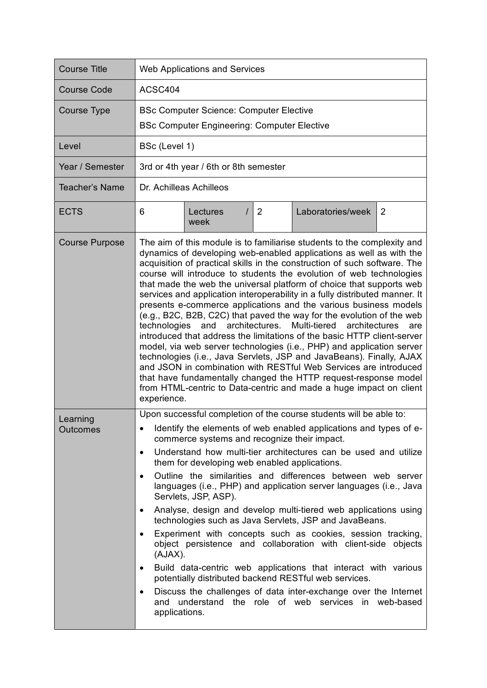| <b>Course Title</b>         | <b>Web Applications and Services</b>                                                                                                                                                                                                                                                                                                                                                                                                                                                                                                                                                                                                                                                                                                                                                                                                                                                                                                                                                                                                                                                                                                            |  |  |  |  |  |
|-----------------------------|-------------------------------------------------------------------------------------------------------------------------------------------------------------------------------------------------------------------------------------------------------------------------------------------------------------------------------------------------------------------------------------------------------------------------------------------------------------------------------------------------------------------------------------------------------------------------------------------------------------------------------------------------------------------------------------------------------------------------------------------------------------------------------------------------------------------------------------------------------------------------------------------------------------------------------------------------------------------------------------------------------------------------------------------------------------------------------------------------------------------------------------------------|--|--|--|--|--|
| <b>Course Code</b>          | ACSC404                                                                                                                                                                                                                                                                                                                                                                                                                                                                                                                                                                                                                                                                                                                                                                                                                                                                                                                                                                                                                                                                                                                                         |  |  |  |  |  |
| <b>Course Type</b>          | <b>BSc Computer Science: Computer Elective</b><br><b>BSc Computer Engineering: Computer Elective</b>                                                                                                                                                                                                                                                                                                                                                                                                                                                                                                                                                                                                                                                                                                                                                                                                                                                                                                                                                                                                                                            |  |  |  |  |  |
| Level                       | BSc (Level 1)                                                                                                                                                                                                                                                                                                                                                                                                                                                                                                                                                                                                                                                                                                                                                                                                                                                                                                                                                                                                                                                                                                                                   |  |  |  |  |  |
| Year / Semester             | 3rd or 4th year / 6th or 8th semester                                                                                                                                                                                                                                                                                                                                                                                                                                                                                                                                                                                                                                                                                                                                                                                                                                                                                                                                                                                                                                                                                                           |  |  |  |  |  |
| <b>Teacher's Name</b>       | Dr. Achilleas Achilleos                                                                                                                                                                                                                                                                                                                                                                                                                                                                                                                                                                                                                                                                                                                                                                                                                                                                                                                                                                                                                                                                                                                         |  |  |  |  |  |
| <b>ECTS</b>                 | 6<br>2<br>Laboratories/week<br>2<br>Lectures<br>week                                                                                                                                                                                                                                                                                                                                                                                                                                                                                                                                                                                                                                                                                                                                                                                                                                                                                                                                                                                                                                                                                            |  |  |  |  |  |
| <b>Course Purpose</b>       | The aim of this module is to familiarise students to the complexity and<br>dynamics of developing web-enabled applications as well as with the<br>acquisition of practical skills in the construction of such software. The<br>course will introduce to students the evolution of web technologies<br>that made the web the universal platform of choice that supports web<br>services and application interoperability in a fully distributed manner. It<br>presents e-commerce applications and the various business models<br>(e.g., B2C, B2B, C2C) that paved the way for the evolution of the web<br>architectures.<br>Multi-tiered<br>and<br>technologies<br>architectures<br>are<br>introduced that address the limitations of the basic HTTP client-server<br>model, via web server technologies (i.e., PHP) and application server<br>technologies (i.e., Java Servlets, JSP and JavaBeans). Finally, AJAX<br>and JSON in combination with RESTful Web Services are introduced<br>that have fundamentally changed the HTTP request-response model<br>from HTML-centric to Data-centric and made a huge impact on client<br>experience. |  |  |  |  |  |
| Learning<br><b>Outcomes</b> | Upon successful completion of the course students will be able to:<br>Identify the elements of web enabled applications and types of e-<br>commerce systems and recognize their impact.<br>Understand how multi-tier architectures can be used and utilize<br>$\bullet$<br>them for developing web enabled applications.<br>Outline the similarities and differences between web server<br>$\bullet$<br>languages (i.e., PHP) and application server languages (i.e., Java<br>Servlets, JSP, ASP).<br>Analyse, design and develop multi-tiered web applications using<br>٠<br>technologies such as Java Servlets, JSP and JavaBeans.<br>Experiment with concepts such as cookies, session tracking,<br>$\bullet$<br>object persistence and collaboration with client-side objects<br>(AJAX).<br>Build data-centric web applications that interact with various<br>$\bullet$<br>potentially distributed backend RESTful web services.<br>Discuss the challenges of data inter-exchange over the Internet<br>$\bullet$<br>and understand the role of web services in web-based<br>applications.                                                   |  |  |  |  |  |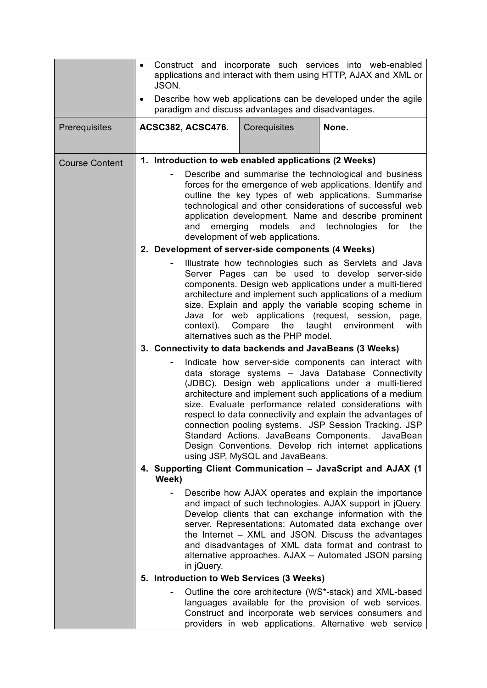|                       | Construct and incorporate such services into web-enabled<br>$\bullet$<br>applications and interact with them using HTTP, AJAX and XML or<br>JSON.<br>Describe how web applications can be developed under the agile<br>$\bullet$                                                                                                                                                                                                                                                                                                                        |                                                                                                                                                                                                                                                                                                                                                                                                                                                                                                               |                                                       |                                                                                                                                                                                                                                                                                                                                                                                                              |  |
|-----------------------|---------------------------------------------------------------------------------------------------------------------------------------------------------------------------------------------------------------------------------------------------------------------------------------------------------------------------------------------------------------------------------------------------------------------------------------------------------------------------------------------------------------------------------------------------------|---------------------------------------------------------------------------------------------------------------------------------------------------------------------------------------------------------------------------------------------------------------------------------------------------------------------------------------------------------------------------------------------------------------------------------------------------------------------------------------------------------------|-------------------------------------------------------|--------------------------------------------------------------------------------------------------------------------------------------------------------------------------------------------------------------------------------------------------------------------------------------------------------------------------------------------------------------------------------------------------------------|--|
|                       | paradigm and discuss advantages and disadvantages.                                                                                                                                                                                                                                                                                                                                                                                                                                                                                                      |                                                                                                                                                                                                                                                                                                                                                                                                                                                                                                               |                                                       |                                                                                                                                                                                                                                                                                                                                                                                                              |  |
| Prerequisites         |                                                                                                                                                                                                                                                                                                                                                                                                                                                                                                                                                         | <b>ACSC382, ACSC476.</b>                                                                                                                                                                                                                                                                                                                                                                                                                                                                                      | Corequisites                                          | None.                                                                                                                                                                                                                                                                                                                                                                                                        |  |
| <b>Course Content</b> |                                                                                                                                                                                                                                                                                                                                                                                                                                                                                                                                                         |                                                                                                                                                                                                                                                                                                                                                                                                                                                                                                               | 1. Introduction to web enabled applications (2 Weeks) |                                                                                                                                                                                                                                                                                                                                                                                                              |  |
|                       |                                                                                                                                                                                                                                                                                                                                                                                                                                                                                                                                                         | Describe and summarise the technological and business<br>forces for the emergence of web applications. Identify and<br>outline the key types of web applications. Summarise<br>technological and other considerations of successful web<br>application development. Name and describe prominent<br>and<br>emerging<br>models<br>and technologies<br>for<br>the<br>development of web applications.                                                                                                            |                                                       |                                                                                                                                                                                                                                                                                                                                                                                                              |  |
|                       |                                                                                                                                                                                                                                                                                                                                                                                                                                                                                                                                                         |                                                                                                                                                                                                                                                                                                                                                                                                                                                                                                               | 2. Development of server-side components (4 Weeks)    |                                                                                                                                                                                                                                                                                                                                                                                                              |  |
|                       |                                                                                                                                                                                                                                                                                                                                                                                                                                                                                                                                                         | Illustrate how technologies such as Servlets and Java<br>Server Pages can be used to develop server-side<br>components. Design web applications under a multi-tiered<br>architecture and implement such applications of a medium<br>size. Explain and apply the variable scoping scheme in<br>Java for web applications (request, session, page,<br>context).<br>Compare the taught<br>environment<br>with<br>alternatives such as the PHP model.<br>3. Connectivity to data backends and JavaBeans (3 Weeks) |                                                       |                                                                                                                                                                                                                                                                                                                                                                                                              |  |
|                       |                                                                                                                                                                                                                                                                                                                                                                                                                                                                                                                                                         |                                                                                                                                                                                                                                                                                                                                                                                                                                                                                                               |                                                       |                                                                                                                                                                                                                                                                                                                                                                                                              |  |
|                       | Indicate how server-side components can interact with<br>data storage systems - Java Database Connectivity<br>(JDBC). Design web applications under a multi-tiered<br>architecture and implement such applications of a medium<br>size. Evaluate performance related considerations with<br>respect to data connectivity and explain the advantages of<br>connection pooling systems. JSP Session Tracking. JSP<br>Standard Actions. JavaBeans Components.<br>Design Conventions. Develop rich internet applications<br>using JSP, MySQL and JavaBeans. |                                                                                                                                                                                                                                                                                                                                                                                                                                                                                                               | JavaBean                                              |                                                                                                                                                                                                                                                                                                                                                                                                              |  |
|                       |                                                                                                                                                                                                                                                                                                                                                                                                                                                                                                                                                         | 4. Supporting Client Communication - JavaScript and AJAX (1)<br>Week)                                                                                                                                                                                                                                                                                                                                                                                                                                         |                                                       |                                                                                                                                                                                                                                                                                                                                                                                                              |  |
|                       |                                                                                                                                                                                                                                                                                                                                                                                                                                                                                                                                                         | in jQuery.                                                                                                                                                                                                                                                                                                                                                                                                                                                                                                    |                                                       | Describe how AJAX operates and explain the importance<br>and impact of such technologies. AJAX support in jQuery.<br>Develop clients that can exchange information with the<br>server. Representations: Automated data exchange over<br>the Internet – XML and JSON. Discuss the advantages<br>and disadvantages of XML data format and contrast to<br>alternative approaches. AJAX - Automated JSON parsing |  |
|                       |                                                                                                                                                                                                                                                                                                                                                                                                                                                                                                                                                         |                                                                                                                                                                                                                                                                                                                                                                                                                                                                                                               | 5. Introduction to Web Services (3 Weeks)             |                                                                                                                                                                                                                                                                                                                                                                                                              |  |
|                       |                                                                                                                                                                                                                                                                                                                                                                                                                                                                                                                                                         |                                                                                                                                                                                                                                                                                                                                                                                                                                                                                                               |                                                       | Outline the core architecture (WS*-stack) and XML-based<br>languages available for the provision of web services.<br>Construct and incorporate web services consumers and<br>providers in web applications. Alternative web service                                                                                                                                                                          |  |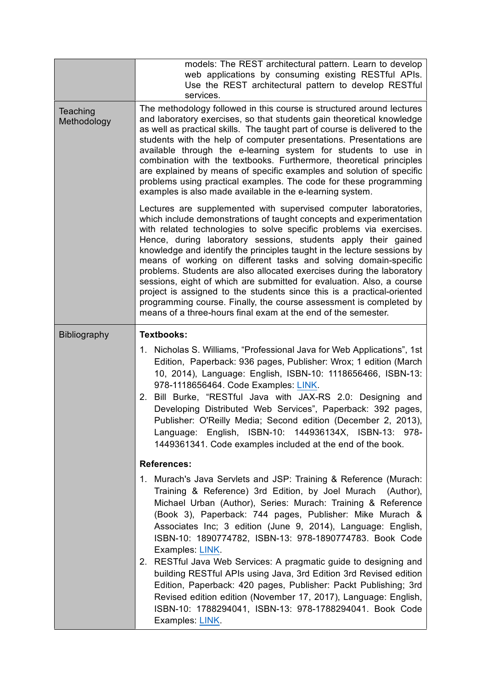|                         | models: The REST architectural pattern. Learn to develop<br>web applications by consuming existing RESTful APIs.<br>Use the REST architectural pattern to develop RESTful<br>services.                                                                                                                                                                                                                                                                                                                                                                                                                                                                                                                                                                                                            |  |  |  |
|-------------------------|---------------------------------------------------------------------------------------------------------------------------------------------------------------------------------------------------------------------------------------------------------------------------------------------------------------------------------------------------------------------------------------------------------------------------------------------------------------------------------------------------------------------------------------------------------------------------------------------------------------------------------------------------------------------------------------------------------------------------------------------------------------------------------------------------|--|--|--|
| Teaching<br>Methodology | The methodology followed in this course is structured around lectures<br>and laboratory exercises, so that students gain theoretical knowledge<br>as well as practical skills. The taught part of course is delivered to the<br>students with the help of computer presentations. Presentations are<br>available through the e-learning system for students to use in<br>combination with the textbooks. Furthermore, theoretical principles<br>are explained by means of specific examples and solution of specific<br>problems using practical examples. The code for these programming<br>examples is also made available in the e-learning system.                                                                                                                                            |  |  |  |
|                         | Lectures are supplemented with supervised computer laboratories,<br>which include demonstrations of taught concepts and experimentation<br>with related technologies to solve specific problems via exercises.<br>Hence, during laboratory sessions, students apply their gained<br>knowledge and identify the principles taught in the lecture sessions by<br>means of working on different tasks and solving domain-specific<br>problems. Students are also allocated exercises during the laboratory<br>sessions, eight of which are submitted for evaluation. Also, a course<br>project is assigned to the students since this is a practical-oriented<br>programming course. Finally, the course assessment is completed by<br>means of a three-hours final exam at the end of the semester. |  |  |  |
| <b>Bibliography</b>     | <b>Textbooks:</b>                                                                                                                                                                                                                                                                                                                                                                                                                                                                                                                                                                                                                                                                                                                                                                                 |  |  |  |
|                         | 1. Nicholas S. Williams, "Professional Java for Web Applications", 1st<br>Edition, Paperback: 936 pages, Publisher: Wrox; 1 edition (March<br>10, 2014), Language: English, ISBN-10: 1118656466, ISBN-13:<br>978-1118656464. Code Examples: LINK.<br>Bill Burke, "RESTful Java with JAX-RS 2.0: Designing and<br>2.<br>Developing Distributed Web Services", Paperback: 392 pages,<br>Publisher: O'Reilly Media; Second edition (December 2, 2013),<br>Language: English, ISBN-10: 144936134X, ISBN-13: 978-<br>1449361341. Code examples included at the end of the book.                                                                                                                                                                                                                        |  |  |  |
|                         | <b>References:</b>                                                                                                                                                                                                                                                                                                                                                                                                                                                                                                                                                                                                                                                                                                                                                                                |  |  |  |
|                         | 1. Murach's Java Servlets and JSP: Training & Reference (Murach:<br>Training & Reference) 3rd Edition, by Joel Murach (Author),<br>Michael Urban (Author), Series: Murach: Training & Reference<br>(Book 3), Paperback: 744 pages, Publisher: Mike Murach &<br>Associates Inc; 3 edition (June 9, 2014), Language: English,<br>ISBN-10: 1890774782, ISBN-13: 978-1890774783. Book Code<br>Examples: LINK.                                                                                                                                                                                                                                                                                                                                                                                         |  |  |  |
|                         | 2. RESTful Java Web Services: A pragmatic guide to designing and<br>building RESTful APIs using Java, 3rd Edition 3rd Revised edition<br>Edition, Paperback: 420 pages, Publisher: Packt Publishing; 3rd<br>Revised edition edition (November 17, 2017), Language: English,<br>ISBN-10: 1788294041, ISBN-13: 978-1788294041. Book Code<br>Examples: LINK.                                                                                                                                                                                                                                                                                                                                                                                                                                         |  |  |  |